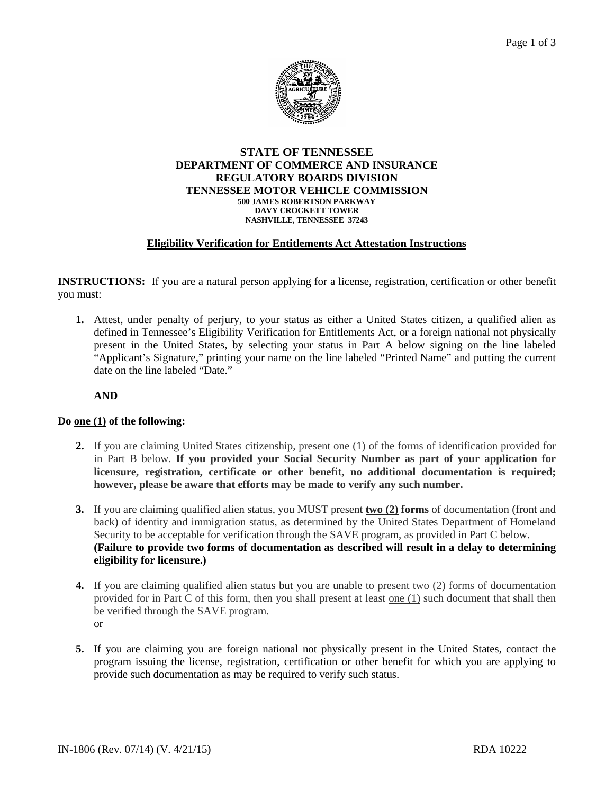

#### **STATE OF TENNESSEE DEPARTMENT OF COMMERCE AND INSURANCE REGULATORY BOARDS DIVISION TENNESSEE MOTOR VEHICLE COMMISSION 500 JAMES ROBERTSON PARKWAY DAVY CROCKETT TOWER NASHVILLE, TENNESSEE 37243**

### **Eligibility Verification for Entitlements Act Attestation Instructions**

**INSTRUCTIONS:** If you are a natural person applying for a license, registration, certification or other benefit you must:

**1.** Attest, under penalty of perjury, to your status as either a United States citizen, a qualified alien as defined in Tennessee's Eligibility Verification for Entitlements Act, or a foreign national not physically present in the United States, by selecting your status in Part A below signing on the line labeled "Applicant's Signature," printing your name on the line labeled "Printed Name" and putting the current date on the line labeled "Date."

**AND**

### **Do one (1) of the following:**

- **2.** If you are claiming United States citizenship, present one (1) of the forms of identification provided for in Part B below. **If you provided your Social Security Number as part of your application for licensure, registration, certificate or other benefit, no additional documentation is required; however, please be aware that efforts may be made to verify any such number.**
- **3.** If you are claiming qualified alien status, you MUST present **two (2) forms** of documentation (front and back) of identity and immigration status, as determined by the United States Department of Homeland Security to be acceptable for verification through the SAVE program, as provided in Part C below. **(Failure to provide two forms of documentation as described will result in a delay to determining eligibility for licensure.)**
- **4.** If you are claiming qualified alien status but you are unable to present two (2) forms of documentation provided for in Part C of this form, then you shall present at least one (1) such document that shall then be verified through the SAVE program. or
- **5.** If you are claiming you are foreign national not physically present in the United States, contact the program issuing the license, registration, certification or other benefit for which you are applying to provide such documentation as may be required to verify such status.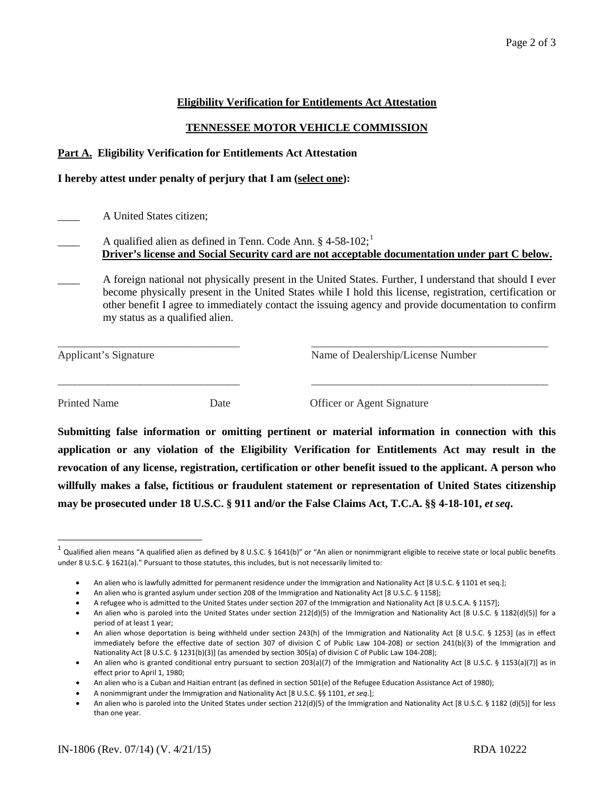## **Eligibility Verification for Entitlements Act Attestation**

# **TENNESSEE MOTOR VEHICLE COMMISSION**

### **Part A. Eligibility Verification for Entitlements Act Attestation**

### **I hereby attest under penalty of perjury that I am (select one):**

\_\_\_\_ A United States citizen;

- A qualified alien as defined in Tenn. Code Ann.  $§$  4-58-[1](#page-1-0)02;<sup>1</sup> **Driver's license and Social Security card are not acceptable documentation under part C below.**
- \_\_\_\_ A foreign national not physically present in the United States. Further, I understand that should I ever become physically present in the United States while I hold this license, registration, certification or other benefit I agree to immediately contact the issuing agency and provide documentation to confirm my status as a qualified alien.

\_\_\_\_\_\_\_\_\_\_\_\_\_\_\_\_\_\_\_\_\_\_\_\_\_\_\_\_\_\_\_\_\_ \_\_\_\_\_\_\_\_\_\_\_\_\_\_\_\_\_\_\_\_\_\_\_\_\_\_\_\_\_\_\_\_\_\_\_\_\_\_\_\_\_\_\_

\_\_\_\_\_\_\_\_\_\_\_\_\_\_\_\_\_\_\_\_\_\_\_\_\_\_\_\_\_\_\_\_\_ \_\_\_\_\_\_\_\_\_\_\_\_\_\_\_\_\_\_\_\_\_\_\_\_\_\_\_\_\_\_\_\_\_\_\_\_\_\_\_\_\_\_\_

Applicant's Signature Name of Dealership/License Number

Printed Name Date Date Officer or Agent Signature

**Submitting false information or omitting pertinent or material information in connection with this application or any violation of the Eligibility Verification for Entitlements Act may result in the revocation of any license, registration, certification or other benefit issued to the applicant. A person who willfully makes a false, fictitious or fraudulent statement or representation of United States citizenship may be prosecuted under 18 U.S.C. § 911 and/or the False Claims Act, T.C.A. §§ 4-18-101,** *et seq***.**

<span id="page-1-0"></span> $^1$  Qualified alien means "A qualified alien as defined by 8 U.S.C. § 1641(b)" or "An alien or nonimmigrant eligible to receive state or local public benefits under 8 U.S.C. § 1621(a)." Pursuant to those statutes, this includes, but is not necessarily limited to:

<sup>•</sup> An alien who is lawfully admitted for permanent residence under the Immigration and Nationality Act [8 U.S.C. § 1101 et seq.];

<sup>•</sup> An alien who is granted asylum under section 208 of the Immigration and Nationality Act [8 U.S.C. § 1158];

<sup>•</sup> A refugee who is admitted to the United States under section 207 of the Immigration and Nationality Act [8 U.S.C.A. § 1157];

<sup>•</sup> An alien who is paroled into the United States under section 212(d)(5) of the Immigration and Nationality Act [8 U.S.C. § 1182(d)(5)] for a period of at least 1 year;

<sup>•</sup> An alien whose deportation is being withheld under section 243(h) of the Immigration and Nationality Act [8 U.S.C. § 1253] (as in effect immediately before the effective date of section 307 of division C of Public Law 104-208) or section 241(b)(3) of the Immigration and Nationality Act [8 U.S.C. § 1231(b)(3)] (as amended by section 305(a) of division C of Public Law 104-208);

<sup>•</sup> An alien who is granted conditional entry pursuant to section 203(a)(7) of the Immigration and Nationality Act [8 U.S.C. § 1153(a)(7)] as in effect prior to April 1, 1980;

<sup>•</sup> An alien who is a Cuban and Haitian entrant (as defined in section 501(e) of the Refugee Education Assistance Act of 1980);

<sup>•</sup> A nonimmigrant under the Immigration and Nationality Act [8 U.S.C. §§ 1101, *et seq*.];

<sup>•</sup> An alien who is paroled into the United States under section 212(d)(5) of the Immigration and Nationality Act [8 U.S.C. § 1182 (d)(5)] for less than one year.